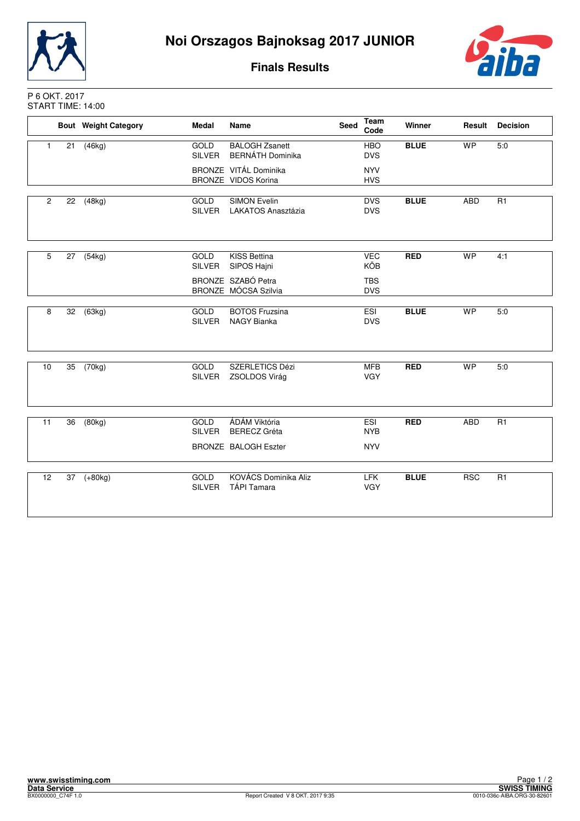



**Finals Results**

## P 6 OKT. 2017 START TIME: 14:00

|                |    | <b>Bout Weight Category</b> | <b>Medal</b>                 | <b>Name</b>                                                         | Seed | Team<br>Code                    | Winner      | Result     | <b>Decision</b> |
|----------------|----|-----------------------------|------------------------------|---------------------------------------------------------------------|------|---------------------------------|-------------|------------|-----------------|
| $\mathbf{1}$   | 21 | (46kg)                      | GOLD<br><b>SILVER</b>        | <b>BALOGH Zsanett</b><br><b>BERNÁTH Dominika</b>                    |      | <b>HBO</b><br><b>DVS</b>        | <b>BLUE</b> | <b>WP</b>  | 5:0             |
|                |    |                             |                              | BRONZE VITÁL Dominika<br>BRONZE VIDOS Korina                        |      | <b>NYV</b><br><b>HVS</b>        |             |            |                 |
| $\overline{2}$ | 22 | (48kg)                      | GOLD<br>SILVER               | <b>SIMON Evelin</b><br><b>LAKATOS Anasztázia</b>                    |      | <b>DVS</b><br><b>DVS</b>        | <b>BLUE</b> | <b>ABD</b> | R1              |
| 5              | 27 | (54kg)                      | GOLD<br><b>SILVER</b>        | KISS Bettina<br>SIPOS Hajni                                         |      | <b>VEC</b><br>KÖB               | <b>RED</b>  | <b>WP</b>  | 4:1             |
|                |    |                             |                              | BRONZE SZABÓ Petra<br>BRONZE MÓCSA Szilvia                          |      | <b>TBS</b><br><b>DVS</b>        |             |            |                 |
| 8              | 32 | (63kg)                      | <b>GOLD</b><br><b>SILVER</b> | <b>BOTOS Fruzsina</b><br><b>NAGY Bianka</b>                         |      | <b>ESI</b><br><b>DVS</b>        | <b>BLUE</b> | <b>WP</b>  | 5:0             |
| 10             | 35 | (70kg)                      | GOLD<br>SILVER               | SZERLETICS Dézi<br>ZSOLDOS Virág                                    |      | <b>MFB</b><br><b>VGY</b>        | <b>RED</b>  | <b>WP</b>  | 5:0             |
| 11             | 36 | (80kg)                      | <b>GOLD</b><br><b>SILVER</b> | ÁDÁM Viktória<br><b>BERECZ</b> Gréta<br><b>BRONZE BALOGH Eszter</b> |      | ESI<br><b>NYB</b><br><b>NYV</b> | <b>RED</b>  | ABD        | R <sub>1</sub>  |
| 12             | 37 | $(+80kg)$                   | GOLD<br><b>SILVER</b>        | KOVÁCS Dominika Aliz<br><b>TÁPI Tamara</b>                          |      | <b>LFK</b><br><b>VGY</b>        | <b>BLUE</b> | <b>RSC</b> | R1              |